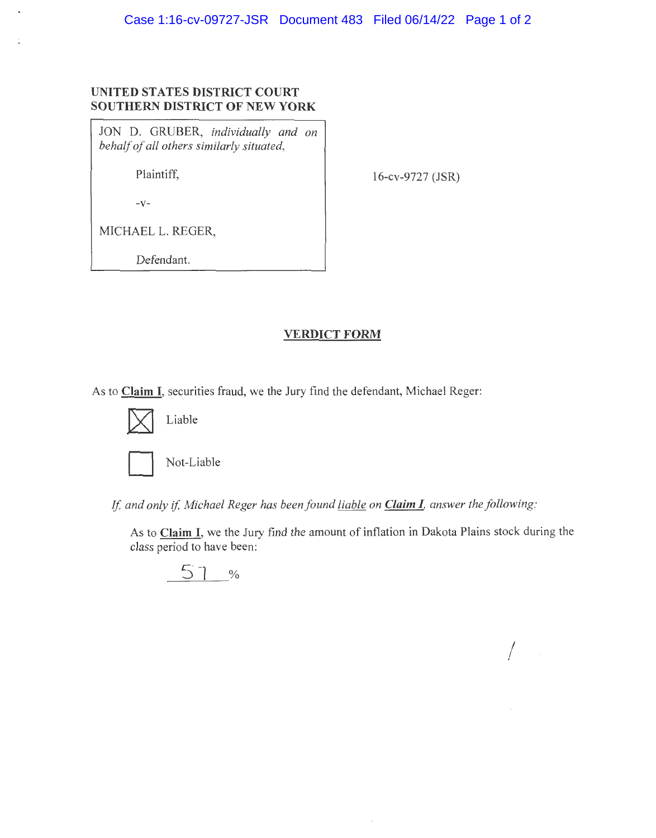## **UNITED STATES DISTRICT COURT SOUTHERN DISTRICT OF NEW YORK**

JON D. GRUBER, *individually and on behalf of all others similarly situated,* 

Plaintiff,

 $-V-$ 

16-cv-9727 (JSR)

MICHAEL L. REGER,

Defendant.

## **VERDICT FORM**

As to **Claim I,** securities fraud, we the Jury find the defendant, Michael Reger:



Not-Liable

*If, and only* if, *Michael Reger has beenfound liable on Claim I, answer the following:* 

As to **Claim** I, we the Jury find the amount of inflation in Dakota Plains stock during the class period to have been:

 $\sqrt{2}$ 

$$
\begin{array}{c|c}\n51 & \text{\textdegree{}}\n\end{array}
$$